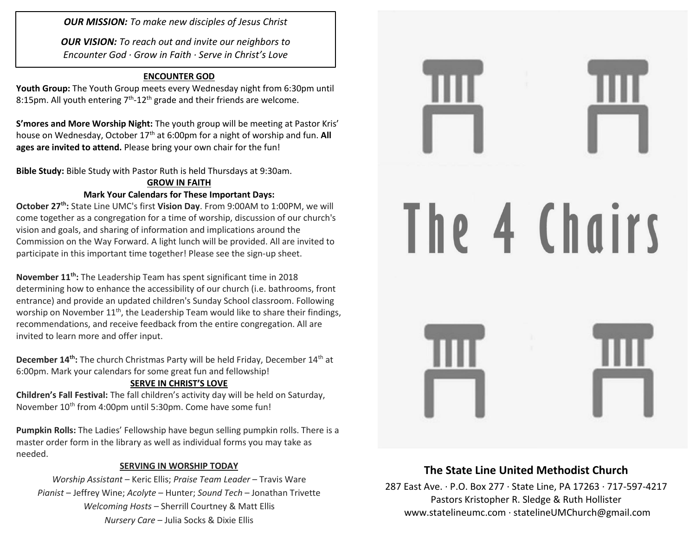*OUR MISSION: To make new disciples of Jesus Christ*

*OUR VISION: To reach out and invite our neighbors to Encounter God · Grow in Faith · Serve in Christ's Love*

### **ENCOUNTER GOD**

**Youth Group:** The Youth Group meets every Wednesday night from 6:30pm until 8:15pm. All youth entering  $7<sup>th</sup>$ -12<sup>th</sup> grade and their friends are welcome.

**S'mores and More Worship Night:** The youth group will be meeting at Pastor Kris' house on Wednesday, October 17<sup>th</sup> at 6:00pm for a night of worship and fun. **All ages are invited to attend.** Please bring your own chair for the fun!

**Bible Study:** Bible Study with Pastor Ruth is held Thursdays at 9:30am.

#### **GROW IN FAITH Mark Your Calendars for These Important Days:**

**October 27th:** State Line UMC's first **Vision Day**. From 9:00AM to 1:00PM, we will come together as a congregation for a time of worship, discussion of our church's vision and goals, and sharing of information and implications around the Commission on the Way Forward. A light lunch will be provided. All are invited to participate in this important time together! Please see the sign-up sheet.

**November 11th:** The Leadership Team has spent significant time in 2018 determining how to enhance the accessibility of our church (i.e. bathrooms, front entrance) and provide an updated children's Sunday School classroom. Following worship on November 11<sup>th</sup>, the Leadership Team would like to share their findings, recommendations, and receive feedback from the entire congregation. All are invited to learn more and offer input.

**December 14th:** The church Christmas Party will be held Friday, December 14th at 6:00pm. Mark your calendars for some great fun and fellowship!

### **SERVE IN CHRIST'S LOVE**

**Children's Fall Festival:** The fall children's activity day will be held on Saturday, November 10<sup>th</sup> from 4:00pm until 5:30pm. Come have some fun!

**Pumpkin Rolls:** The Ladies' Fellowship have begun selling pumpkin rolls. There is a master order form in the library as well as individual forms you may take as needed.

### **SERVING IN WORSHIP TODAY**

*Worship Assistant* – Keric Ellis; *Praise Team Leader* – Travis Ware *Pianist* – Jeffrey Wine; *Acolyte* – Hunter; *Sound Tech* – Jonathan Trivette *Welcoming Hosts* – Sherrill Courtney & Matt Ellis *Nursery Care* – Julia Socks & Dixie Ellis



# **The State Line United Methodist Church**

287 East Ave. · P.O. Box 277 · State Line, PA 17263 · 717-597-4217 Pastors Kristopher R. Sledge & Ruth Hollister [www.statelineumc.com](http://www.statelineumc.com/) · statelineUMChurch@gmail.com